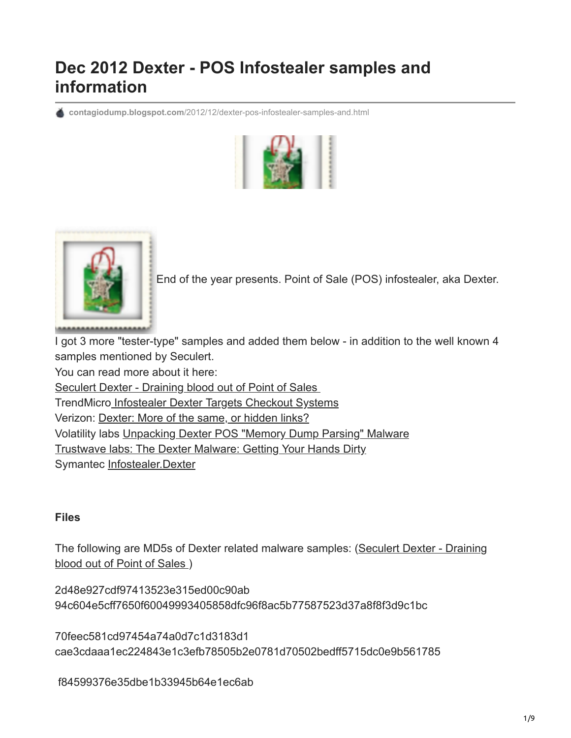# **Dec 2012 Dexter - POS Infostealer samples and information**

**contagiodump.blogspot.com**[/2012/12/dexter-pos-infostealer-samples-and.html](http://contagiodump.blogspot.com/2012/12/dexter-pos-infostealer-samples-and.html)





[E](http://3.bp.blogspot.com/-rT57vZC8qQ4/UNfGyVPz4bI/AAAAAAAAGKY/dzu9c1W0z98/s1600/bag+(1).PNG)nd of the year presents. Point of Sale (POS) infostealer, aka Dexter.

I got 3 more "tester-type" samples and added them below - in addition to the well known 4 samples mentioned by Seculert.

You can read more about it here:

[Seculert Dexter - Draining blood out of Point of Sales](http://blog.seculert.com/2012/12/dexter-draining-blood-out-of-point-of.html) 

TrendMicr[o Infostealer Dexter Targets Checkout Systems](http://blog.trendmicro.com/trendlabs-security-intelligence/infostealer-dexter-targets-checkout-systems/)

Verizon: [Dexter: More of the same, or hidden links?](http://securityblog.verizonbusiness.com/2012/12/14/dexter-more-of-the-same-or-hidden-links/)

Volatility labs [Unpacking Dexter POS "Memory Dump Parsing" Malware](http://volatility-labs.blogspot.ca/2012/12/unpacking-dexter-pos-memory-dump.html)

[Trustwave labs: The Dexter Malware: Getting Your Hands Dirty](http://blog.spiderlabs.com/2012/12/the-dexter-malware-getting-your-hands-dirty.html)

Symantec [Infostealer.Dexter](http://www.symantec.com/security_response/writeup.jsp?docid=2012-121219-2643-99&tabid=2)

## **Files**

[The following are MD5s of Dexter related malware samples: \(Seculert Dexter - Draining](http://blog.seculert.com/2012/12/dexter-draining-blood-out-of-point-of.html) blood out of Point of Sales )

2d48e927cdf97413523e315ed00c90ab 94c604e5cff7650f60049993405858dfc96f8ac5b77587523d37a8f8f3d9c1bc

70feec581cd97454a74a0d7c1d3183d1 cae3cdaaa1ec224843e1c3efb78505b2e0781d70502bedff5715dc0e9b561785

f84599376e35dbe1b33945b64e1ec6ab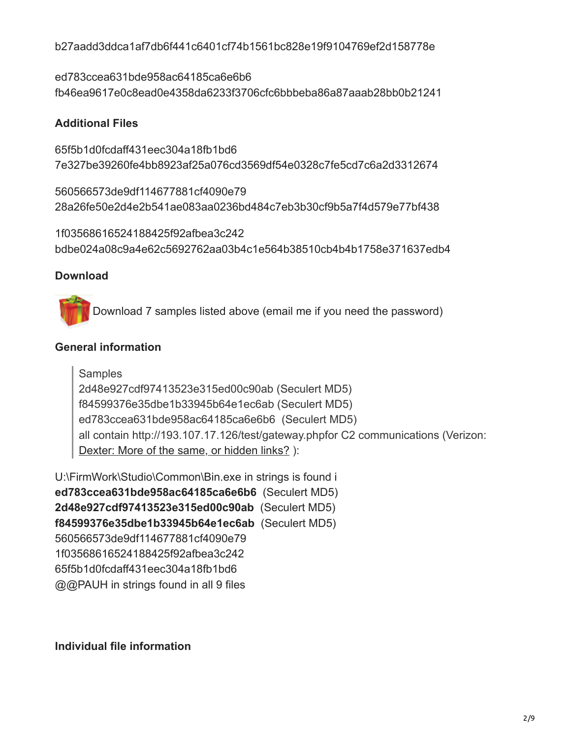b27aadd3ddca1af7db6f441c6401cf74b1561bc828e19f9104769ef2d158778e

ed783ccea631bde958ac64185ca6e6b6 fb46ea9617e0c8ead0e4358da6233f3706cfc6bbbeba86a87aaab28bb0b21241

## **Additional Files**

65f5b1d0fcdaff431eec304a18fb1bd6 7e327be39260fe4bb8923af25a076cd3569df54e0328c7fe5cd7c6a2d3312674

560566573de9df114677881cf4090e79 28a26fe50e2d4e2b541ae083aa0236bd484c7eb3b30cf9b5a7f4d579e77bf438

1f03568616524188425f92afbea3c242 bdbe024a08c9a4e62c5692762aa03b4c1e564b38510cb4b4b1758e371637edb4

# **Download**

[D](http://www.mediafire.com/?529l3t0n2rliq9y)ownload 7 samples listed above (email me if you need the password)

# **General information**

**Samples** 2d48e927cdf97413523e315ed00c90ab (Seculert MD5) f84599376e35dbe1b33945b64e1ec6ab (Seculert MD5) ed783ccea631bde958ac64185ca6e6b6 (Seculert MD5) all contain http://193.107.17.126/test/gateway.phpfor C2 communications (Verizon: [Dexter: More of the same, or hidden links?](http://securityblog.verizonbusiness.com/2012/12/14/dexter-more-of-the-same-or-hidden-links/) ):

U:\FirmWork\Studio\Common\Bin.exe in strings is found i **ed783ccea631bde958ac64185ca6e6b6** (Seculert MD5) **2d48e927cdf97413523e315ed00c90ab** (Seculert MD5) **f84599376e35dbe1b33945b64e1ec6ab** (Seculert MD5) 560566573de9df114677881cf4090e79 1f03568616524188425f92afbea3c242 65f5b1d0fcdaff431eec304a18fb1bd6 @@PAUH in strings found in all 9 files

**Individual file information**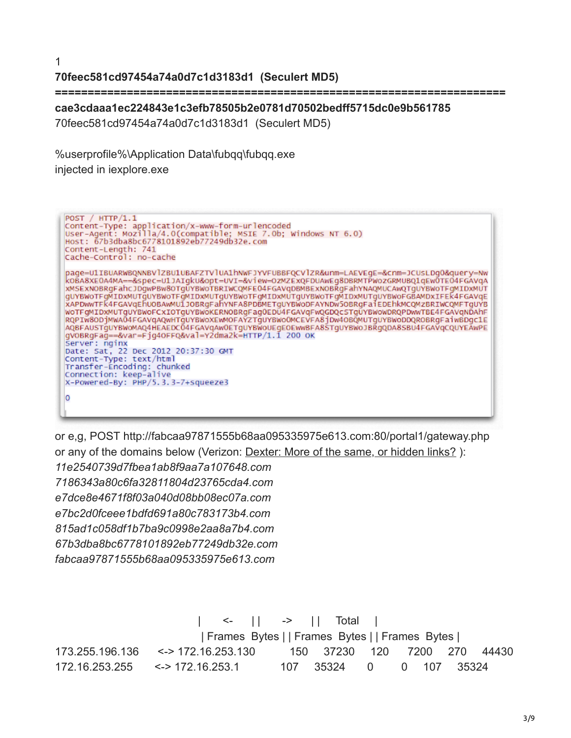1

## **70feec581cd97454a74a0d7c1d3183d1 (Seculert MD5)**

**=====================================================================** 

**cae3cdaaa1ec224843e1c3efb78505b2e0781d70502bedff5715dc0e9b561785**

70feec581cd97454a74a0d7c1d3183d1 (Seculert MD5)

%userprofile%\Application Data\fubqq\fubqq.exe

injected in iexplore.exe



or e,g, POST http://fabcaa97871555b68aa095335975e613.com:80/portal1/gateway.php or any of the domains below (Verizon: [Dexter: More of the same, or hidden links?](http://securityblog.verizonbusiness.com/2012/12/14/dexter-more-of-the-same-or-hidden-links/) ): *11e2540739d7fbea1ab8f9aa7a107648.com 7186343a80c6fa32811804d23765cda4.com e7dce8e4671f8f03a040d08bb08ec07a.com e7bc2d0fceee1bdfd691a80c783173b4.com 815ad1c058df1b7ba9c0998e2aa8a7b4.com 67b3dba8bc6778101892eb77249db32e.com fabcaa97871555b68aa095335975e613.com*

 $\leftarrow$  | | -> | | Total | | Frames Bytes | | Frames Bytes | | Frames Bytes | 173.255.196.136 <-> 172.16.253.130 150 37230 120 7200 270 44430 172.16.253.255 <-> 172.16.253.1 107 35324 0 0 107 35324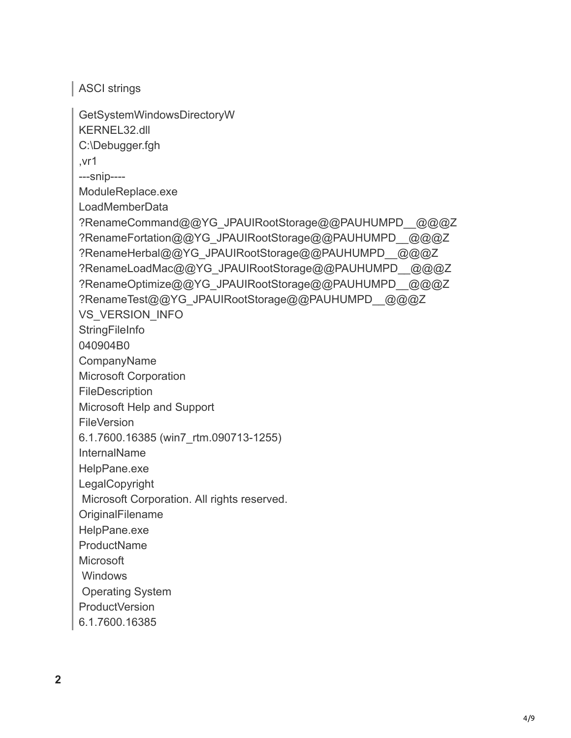ASCI strings

GetSystemWindowsDirectoryW KERNEL32.dll C:\Debugger.fgh ,vr1 ---snip---- ModuleReplace.exe LoadMemberData ?RenameCommand@@YG\_JPAUIRootStorage@@PAUHUMPD\_\_@@@Z ?RenameFortation@@YG\_JPAUIRootStorage@@PAUHUMPD\_\_@@@Z ?RenameHerbal@@YG\_JPAUIRootStorage@@PAUHUMPD\_@@@Z ?RenameLoadMac@@YG\_JPAUIRootStorage@@PAUHUMPD\_@@@Z ?RenameOptimize@@YG\_JPAUIRootStorage@@PAUHUMPD\_@@@Z ?RenameTest@@YG\_JPAUIRootStorage@@PAUHUMPD\_@@@Z VS\_VERSION\_INFO **StringFileInfo** 040904B0 CompanyName Microsoft Corporation FileDescription Microsoft Help and Support **FileVersion** 6.1.7600.16385 (win7\_rtm.090713-1255) InternalName HelpPane.exe LegalCopyright Microsoft Corporation. All rights reserved. **OriginalFilename** HelpPane.exe ProductName **Microsoft**  Windows Operating System ProductVersion 6.1.7600.16385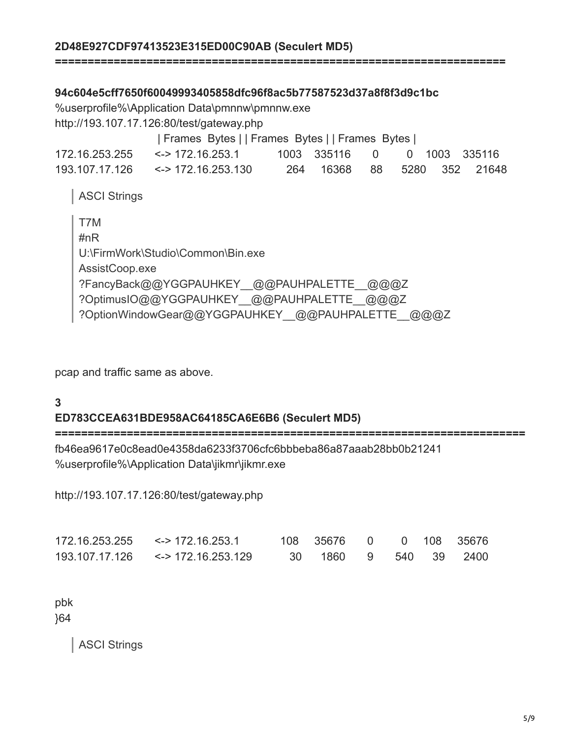#### **2D48E927CDF97413523E315ED00C90AB (Seculert MD5)**

#### **94c604e5cff7650f60049993405858dfc96f8ac5b77587523d37a8f8f3d9c1bc**

%userprofile%\Application Data\pmnnw\pmnnw.exe http://193.107.17.126:80/test/gateway.php

| Frames Bytes | | Frames Bytes | | Frames Bytes |

**=====================================================================** 

| $172.16.253.255$ <-> $172.16.253.1$ | 1003 335116 0 0 1003 335116 |  |                             |
|-------------------------------------|-----------------------------|--|-----------------------------|
| $193.107.17.126$ <-> 172.16.253.130 |                             |  | 264 16368 88 5280 352 21648 |

ASCI Strings

| T7M                                                |
|----------------------------------------------------|
| #n $R$                                             |
| U:\FirmWork\Studio\Common\Bin.exe                  |
| AssistCoop.exe                                     |
| ?FancyBack@@YGGPAUHKEY @@PAUHPALETTE @@@Z          |
| ?OptimusIO@@YGGPAUHKEY @@PAUHPALETTE @@@Z          |
| ?OptionWindowGear@@YGGPAUHKEY__@@PAUHPALETTE__@@@Z |

pcap and traffic same as above.

#### **3**

#### **ED783CCEA631BDE958AC64185CA6E6B6 (Seculert MD5)**

**========================================================================**

fb46ea9617e0c8ead0e4358da6233f3706cfc6bbbeba86a87aaab28bb0b21241 %userprofile%\Application Data\jikmr\jikmr.exe

http://193.107.17.126:80/test/gateway.php

| $172.16.253.255$ <-> 172.16.253.1   | 108 35676 0 0 108 35676 |  |  |
|-------------------------------------|-------------------------|--|--|
| $193.107.17.126$ <-> 172.16.253.129 | 30 1860 9 540 39 2400   |  |  |

pbk }64

ASCI Strings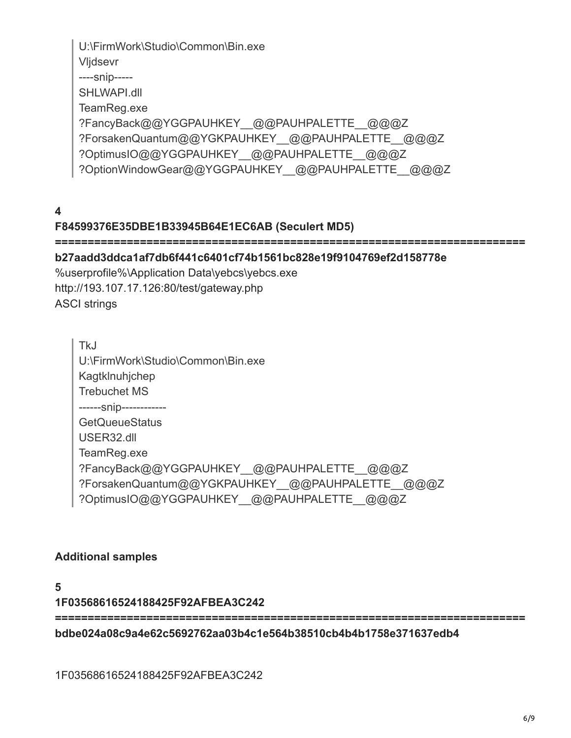U:\FirmWork\Studio\Common\Bin.exe Vljdsevr ----snip----- SHLWAPI.dll TeamReg.exe ?FancyBack@@YGGPAUHKEY\_@@PAUHPALETTE\_@@@Z ?ForsakenQuantum@@YGKPAUHKEY\_@@PAUHPALETTE\_@@@Z ?OptimusIO@@YGGPAUHKEY\_@@PAUHPALETTE\_@@@Z ?OptionWindowGear@@YGGPAUHKEY\_@@PAUHPALETTE\_@@@Z

**4**

## **F84599376E35DBE1B33945B64E1EC6AB (Seculert MD5)**

#### **========================================================================**

#### **b27aadd3ddca1af7db6f441c6401cf74b1561bc828e19f9104769ef2d158778e**

%userprofile%\Application Data\yebcs\yebcs.exe http://193.107.17.126:80/test/gateway.php ASCI strings

TkJ U:\FirmWork\Studio\Common\Bin.exe Kagtklnuhjchep Trebuchet MS ------snip------------ **GetQueueStatus** USER32.dll TeamReg.exe ?FancyBack@@YGGPAUHKEY\_@@PAUHPALETTE\_@@@Z ?ForsakenQuantum@@YGKPAUHKEY\_@@PAUHPALETTE\_@@@Z ?OptimusIO@@YGGPAUHKEY\_@@PAUHPALETTE\_@@@Z

#### **Additional samples**

**1F03568616524188425F92AFBEA3C242**

**========================================================================**

**bdbe024a08c9a4e62c5692762aa03b4c1e564b38510cb4b4b1758e371637edb4** 

1F03568616524188425F92AFBEA3C242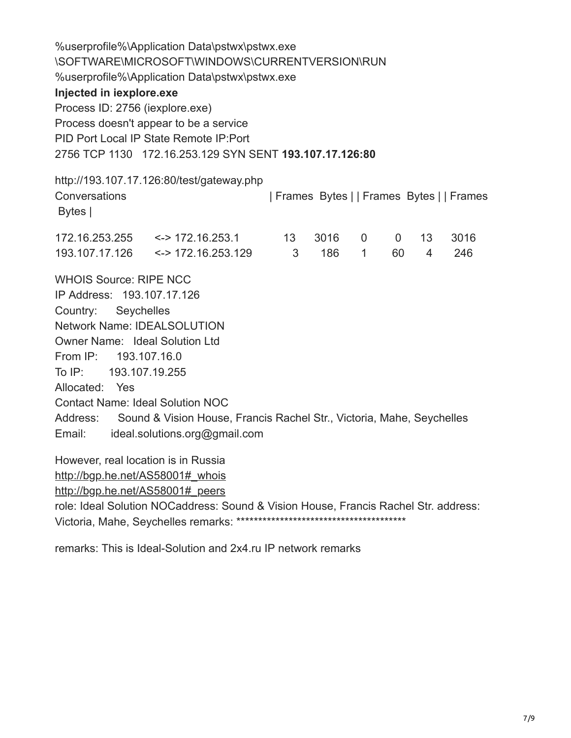%userprofile%\Application Data\pstwx\pstwx.exe \SOFTWARE\MICROSOFT\WINDOWS\CURRENTVERSION\RUN %userprofile%\Application Data\pstwx\pstwx.exe **Injected in iexplore.exe** Process ID: 2756 (iexplore.exe) Process doesn't appear to be a service PID Port Local IP State Remote IP:Port 2756 TCP 1130 172.16.253.129 SYN SENT **193.107.17.126:80** http://193.107.17.126:80/test/gateway.php Conversations | Frames Bytes | | Frames Bytes | | Frames Bytes | 172.16.253.255 <-> 172.16.253.1 13 3016 0 0 13 3016 193.107.17.126 <-> 172.16.253.129 3 186 1 60 4 246 WHOIS Source: RIPE NCC IP Address: 193.107.17.126 Country: Seychelles Network Name: IDEALSOLUTION Owner Name: Ideal Solution Ltd From IP: 193.107.16.0 To IP: 193.107.19.255 Allocated: Yes Contact Name: Ideal Solution NOC Address: Sound & Vision House, Francis Rachel Str., Victoria, Mahe, Seychelles Email: ideal.solutions.org@gmail.com However, real location is in Russia

http://bgp.he.net/AS58001# whois

[http://bgp.he.net/AS58001#\\_peers](http://bgp.he.net/AS58001#_peers)

role: Ideal Solution NOCaddress: Sound & Vision House, Francis Rachel Str. address: Victoria, Mahe, Seychelles remarks: \*\*\*\*\*\*\*\*\*\*\*\*\*\*\*\*\*\*\*\*\*\*\*\*\*\*\*\*\*\*\*\*\*\*\*\*\*\*\*

remarks: This is Ideal-Solution and 2x4.ru IP network remarks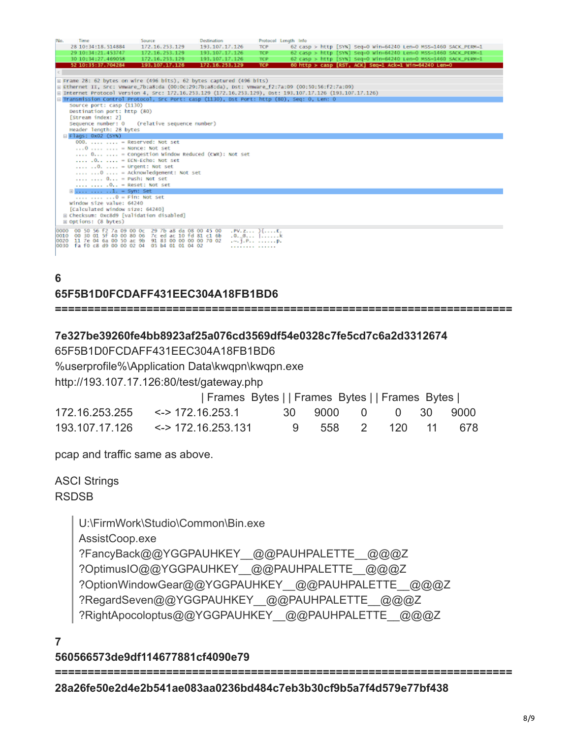| No.                                      | Time                                                 | Source                                                                                                    | Destination    |                                    | Protocol Length Info |  |                                                                 |  |  |  |
|------------------------------------------|------------------------------------------------------|-----------------------------------------------------------------------------------------------------------|----------------|------------------------------------|----------------------|--|-----------------------------------------------------------------|--|--|--|
|                                          | 28 10:34:18.514884                                   | 172.16.253.129                                                                                            | 193.107.17.126 | <b>TCP</b>                         |                      |  | 62 casp > http [SYN] Seg=0 Win=64240 Len=0 MSS=1460 SACK_PERM=1 |  |  |  |
|                                          | 29 10:34:21.453747                                   | 172.16.253.129                                                                                            | 193.107.17.126 | <b>TCP</b>                         |                      |  | 62 casp > http [SYN] Seg=0 Win=64240 Len=0 MSS=1460 SACK_PERM=1 |  |  |  |
|                                          | 30 10:34:27.469058                                   | 172.16.253.129                                                                                            | 193.107.17.126 | TCP.                               |                      |  | 62 casp > http [SYN] Seg=0 Win=64240 Len=0 MSS=1460 SACK_PERM=1 |  |  |  |
|                                          | 52 10:35:37.704284                                   | 193.107.17.126                                                                                            | 172.16.253.129 | <b>TCP</b>                         |                      |  | 60 http > casp [RST, ACK] Seq=1 Ack=1 Win=64240 Len=0           |  |  |  |
|                                          |                                                      |                                                                                                           |                |                                    |                      |  |                                                                 |  |  |  |
|                                          |                                                      | E Frame 28: 62 bytes on wire (496 bits), 62 bytes captured (496 bits)                                     |                |                                    |                      |  |                                                                 |  |  |  |
|                                          |                                                      | @ Ethernet II, Src: Vmware_7b:a8:da (00:0c:29:7b:a8:da), Dst: Vmware_f2:7a:09 (00:50:56:f2:7a:09)         |                |                                    |                      |  |                                                                 |  |  |  |
|                                          |                                                      | @ Internet Protocol Version 4, Src: 172.16.253.129 (172.16.253.129), Dst: 193.107.17.126 (193.107.17.126) |                |                                    |                      |  |                                                                 |  |  |  |
|                                          |                                                      | E Transmission Control Protocol, Src Port: casp (1130), Dst Port: http (80), Seq: 0, Len: 0               |                |                                    |                      |  |                                                                 |  |  |  |
|                                          | Source port: casp (1130)                             |                                                                                                           |                |                                    |                      |  |                                                                 |  |  |  |
|                                          | Destination port: http (80)                          |                                                                                                           |                |                                    |                      |  |                                                                 |  |  |  |
|                                          | [Stream index: 2]                                    |                                                                                                           |                |                                    |                      |  |                                                                 |  |  |  |
|                                          |                                                      | Sequence number: 0 (relative sequence number)                                                             |                |                                    |                      |  |                                                                 |  |  |  |
|                                          | Header length: 28 bytes                              |                                                                                                           |                |                                    |                      |  |                                                                 |  |  |  |
|                                          | B Flags: 0x02 (SYN)                                  |                                                                                                           |                |                                    |                      |  |                                                                 |  |  |  |
|                                          |                                                      | $000, \ldots, \ldots =$ Reserved: Not set                                                                 |                |                                    |                      |  |                                                                 |  |  |  |
|                                          |                                                      | $\ldots$ 0 $\ldots$ $\ldots$ = Nonce: Not set                                                             |                |                                    |                      |  |                                                                 |  |  |  |
|                                          |                                                      | $\ldots$ 0  = Congestion Window Reduced (CWR): Not set                                                    |                |                                    |                      |  |                                                                 |  |  |  |
|                                          |                                                      | . 0  = ECN-Echo: Not set                                                                                  |                |                                    |                      |  |                                                                 |  |  |  |
|                                          |                                                      | $\ldots$ , $\ldots$ $\ldots$ = Urgent: Not set                                                            |                |                                    |                      |  |                                                                 |  |  |  |
|                                          |                                                      | $\ldots$ $\ldots$ $0$ $\ldots$ = Acknowledgement: Not set                                                 |                |                                    |                      |  |                                                                 |  |  |  |
|                                          | $\ldots$ $\ldots$ 0 = Push: Not set                  |                                                                                                           |                |                                    |                      |  |                                                                 |  |  |  |
|                                          | $\ldots$ $\ldots$ $\ldots$ $\ldots$ = Reset: Not set |                                                                                                           |                |                                    |                      |  |                                                                 |  |  |  |
|                                          | $\exists$ 1. = Syn: Set                              |                                                                                                           |                |                                    |                      |  |                                                                 |  |  |  |
|                                          | $\ldots$ $\ldots$ $\ldots$ $0 =$ Fin: Not set        |                                                                                                           |                |                                    |                      |  |                                                                 |  |  |  |
|                                          | window size value: 64240                             |                                                                                                           |                |                                    |                      |  |                                                                 |  |  |  |
|                                          | [Calculated window size: 64240]                      |                                                                                                           |                |                                    |                      |  |                                                                 |  |  |  |
| E Checksum: 0xc8d9 [validation disabled] |                                                      |                                                                                                           |                |                                    |                      |  |                                                                 |  |  |  |
|                                          | H Options: (8 bytes)                                 |                                                                                                           |                |                                    |                      |  |                                                                 |  |  |  |
| 0000                                     | 00 50 56 f2 7a 09 00 0c                              | 29 7b a8 da 08 00 45 00                                                                                   |                | $PV, Z, \ldots$ $He, \ldots$ $E$ . |                      |  |                                                                 |  |  |  |
|                                          |                                                      | 0010 00 30 01 5f 40 00 80 06 7c ed ac 10 fd 81 c1 6b                                                      |                | $0.0$ . $$ $$                      |                      |  |                                                                 |  |  |  |
|                                          | 0020 11 7e 04 6a 00 50 ac 9b                         | 91 83 00 00 00 00 70 02                                                                                   |                | $-1.00$                            |                      |  |                                                                 |  |  |  |
|                                          |                                                      | 0030 fa f0 c8 d9 00 00 02 04 05 b4 01 01 04 02                                                            |                | .                                  |                      |  |                                                                 |  |  |  |
|                                          |                                                      |                                                                                                           |                |                                    |                      |  |                                                                 |  |  |  |

#### **6**

## **65F5B1D0FCDAFF431EEC304A18FB1BD6**

**======================================================================**

## **7e327be39260fe4bb8923af25a076cd3569df54e0328c7fe5cd7c6a2d3312674**

65F5B1D0FCDAFF431EEC304A18FB1BD6

%userprofile%\Application Data\kwqpn\kwqpn.exe

http://193.107.17.126:80/test/gateway.php

| Frames Bytes    Frames Bytes    Frames Bytes |                     |  |  |
|----------------------------------------------|---------------------|--|--|
| 172.16.253.255 <-> 172.16.253.1              | 30 9000 0 0 30 9000 |  |  |
| $193.107.17.126$ <-> 172.16.253.131          | 9 558 2 120 11 678  |  |  |

pcap and traffic same as above.

## ASCI Strings RSDSB

U:\FirmWork\Studio\Common\Bin.exe AssistCoop.exe ?FancyBack@@YGGPAUHKEY\_@@PAUHPALETTE\_@@@Z ?OptimusIO@@YGGPAUHKEY\_@@PAUHPALETTE\_@@@Z ?OptionWindowGear@@YGGPAUHKEY\_@@PAUHPALETTE\_@@@Z ?RegardSeven@@YGGPAUHKEY\_@@PAUHPALETTE\_@@@Z ?RightApocoloptus@@YGGPAUHKEY\_@@PAUHPALETTE\_@@@Z

**7**

## **560566573de9df114677881cf4090e79**

**======================================================================**

#### **28a26fe50e2d4e2b541ae083aa0236bd484c7eb3b30cf9b5a7f4d579e77bf438**